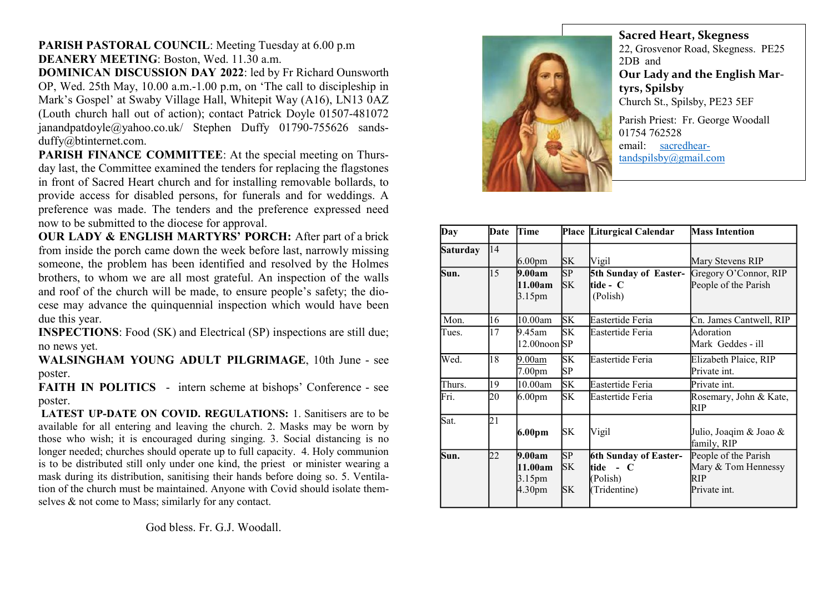## PARISH PASTORAL COUNCIL: Meeting Tuesday at 6.00 p.m DEANERY MEETING: Boston, Wed. 11.30 a.m.

DOMINICAN DISCUSSION DAY 2022: led by Fr Richard Ounsworth OP, Wed. 25th May, 10.00 a.m.-1.00 p.m, on 'The call to discipleship in Mark's Gospel' at Swaby Village Hall, Whitepit Way (A16), LN13 0AZ (Louth church hall out of action); contact Patrick Doyle 01507-481072 janandpatdoyle@yahoo.co.uk/ Stephen Duffy 01790-755626 sandsduffy@btinternet.com.

PARISH FINANCE COMMITTEE: At the special meeting on Thursday last, the Committee examined the tenders for replacing the flagstones in front of Sacred Heart church and for installing removable bollards, to provide access for disabled persons, for funerals and for weddings. A preference was made. The tenders and the preference expressed need now to be submitted to the diocese for approval.

OUR LADY & ENGLISH MARTYRS' PORCH: After part of a brick from inside the porch came down the week before last, narrowly missing someone, the problem has been identified and resolved by the Holmes brothers, to whom we are all most grateful. An inspection of the walls and roof of the church will be made, to ensure people's safety; the diocese may advance the quinquennial inspection which would have been due this year.

INSPECTIONS: Food (SK) and Electrical (SP) inspections are still due; no news yet.

WALSINGHAM YOUNG ADULT PILGRIMAGE, 10th June - see poster.

FAITH IN POLITICS - intern scheme at bishops' Conference - see poster.

LATEST UP-DATE ON COVID. REGULATIONS: 1. Sanitisers are to be available for all entering and leaving the church. 2. Masks may be worn by those who wish; it is encouraged during singing. 3. Social distancing is no longer needed; churches should operate up to full capacity. 4. Holy communion is to be distributed still only under one kind, the priest or minister wearing a mask during its distribution, sanitising their hands before doing so. 5. Ventilation of the church must be maintained. Anyone with Covid should isolate themselves & not come to Mass; similarly for any contact.

God bless. Fr. G.J. Woodall.



Sacred Heart, Skegness 22, Grosvenor Road, Skegness. PE25 2DB and Our Lady and the English Martyrs, Spilsby Church St., Spilsby, PE23 5EF Parish Priest: Fr. George Woodall 01754 762528 email: sacredhear-

| Day             | Date | Time                                                          |                       | Place Liturgical Calendar                                                                          | <b>Mass Intention</b>                                              |
|-----------------|------|---------------------------------------------------------------|-----------------------|----------------------------------------------------------------------------------------------------|--------------------------------------------------------------------|
| <b>Saturday</b> | 14   | 6.00 <sub>pm</sub>                                            | <b>SK</b>             | Vigil                                                                                              | Mary Stevens RIP                                                   |
| Sun.            | 15   | 9.00am<br>11.00am<br>3.15pm                                   | SP<br><b>SK</b>       | 5th Sunday of Easter-<br>ltide - C<br>(Polish)                                                     | Gregory O'Connor, RIP<br>People of the Parish                      |
| Mon.            | 16   | 10.00am                                                       | <b>SK</b>             | Eastertide Feria                                                                                   | Cn. James Cantwell, RIP                                            |
| Tues.           | 17   | 9.45am<br>12.00noon SP                                        | <b>SK</b>             | Eastertide Feria                                                                                   | Adoration<br>Mark Geddes - ill                                     |
| Wed.            | 18   | 9.00am<br>7.00pm                                              | <b>SK</b><br>SP       | Eastertide Feria                                                                                   | Elizabeth Plaice, RIP<br>Private int.                              |
| Thurs.          | 19   | 10.00am                                                       | <b>SK</b>             | Eastertide Feria                                                                                   | Private int.                                                       |
| Fri.            | 20   | 6.00 <sub>pm</sub>                                            | SK                    | Eastertide Feria                                                                                   | Rosemary, John & Kate,<br>RIP                                      |
| Sat.            | 21   | 6.00pm                                                        | SK                    | Vigil                                                                                              | Julio, Joaqim & Joao &<br>family, RIP                              |
| Sun.            | 22   | 9.00am<br>11.00am<br>3.15 <sub>pm</sub><br>4.30 <sub>pm</sub> | SP<br>SK<br><b>SK</b> | <b>6th Sunday of Easter-</b><br>ltide<br>$\mathbf C$<br>$\blacksquare$<br>(Polish)<br>(Tridentine) | People of the Parish<br>Mary & Tom Hennessy<br>RIP<br>Private int. |